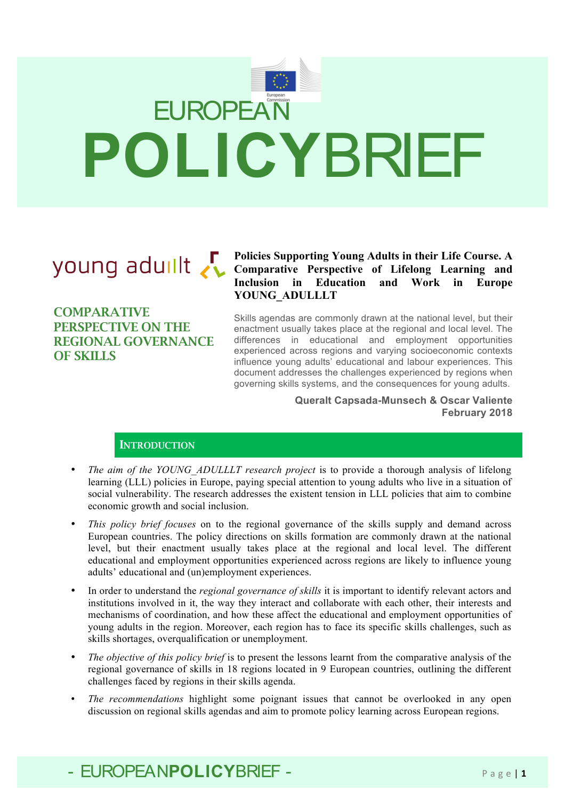

**COMPARATIVE** PERSPECTIVE ON THE REGIONAL GOVERNANCE OF SKILLS

### **Policies Supporting Young Adults in their Life Course. A Comparative Perspective of Lifelong Learning and Inclusion in Education and Work in Europe YOUNG\_ADULLLT**

Skills agendas are commonly drawn at the national level, but their enactment usually takes place at the regional and local level. The differences in educational and employment opportunities experienced across regions and varying socioeconomic contexts influence young adults' educational and labour experiences. This document addresses the challenges experienced by regions when governing skills systems, and the consequences for young adults.

> **Queralt Capsada-Munsech & Oscar Valiente February 2018**

### **INTRODUCTION**

- *The aim of the YOUNG\_ADULLLT research project* is to provide a thorough analysis of lifelong learning (LLL) policies in Europe, paying special attention to young adults who live in a situation of social vulnerability. The research addresses the existent tension in LLL policies that aim to combine economic growth and social inclusion.
- *This policy brief focuses* on to the regional governance of the skills supply and demand across European countries. The policy directions on skills formation are commonly drawn at the national level, but their enactment usually takes place at the regional and local level. The different educational and employment opportunities experienced across regions are likely to influence young adults' educational and (un)employment experiences.
- In order to understand the *regional governance of skills* it is important to identify relevant actors and institutions involved in it, the way they interact and collaborate with each other, their interests and mechanisms of coordination, and how these affect the educational and employment opportunities of young adults in the region. Moreover, each region has to face its specific skills challenges, such as skills shortages, overqualification or unemployment.
- *The objective of this policy brief* is to present the lessons learnt from the comparative analysis of the regional governance of skills in 18 regions located in 9 European countries, outlining the different challenges faced by regions in their skills agenda.
- *The recommendations* highlight some poignant issues that cannot be overlooked in any open discussion on regional skills agendas and aim to promote policy learning across European regions.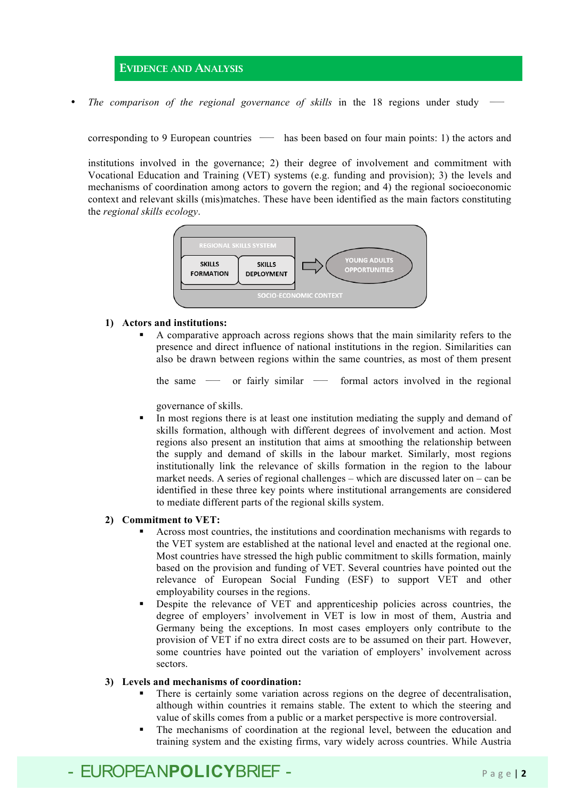### EVIDENCE AND ANALYSIS

*The comparison of the regional governance of skills* in the 18 regions under study

corresponding to 9 European countries*—*has been based on four main points: 1) the actors and

institutions involved in the governance; 2) their degree of involvement and commitment with Vocational Education and Training (VET) systems (e.g. funding and provision); 3) the levels and mechanisms of coordination among actors to govern the region; and 4) the regional socioeconomic context and relevant skills (mis)matches. These have been identified as the main factors constituting the *regional skills ecology*.



### **1) Actors and institutions:**

§ A comparative approach across regions shows that the main similarity refers to the presence and direct influence of national institutions in the region. Similarities can also be drawn between regions within the same countries, as most of them present

the same *—* or fairly similar *—* formal actors involved in the regional

governance of skills.

• In most regions there is at least one institution mediating the supply and demand of skills formation, although with different degrees of involvement and action. Most regions also present an institution that aims at smoothing the relationship between the supply and demand of skills in the labour market. Similarly, most regions institutionally link the relevance of skills formation in the region to the labour market needs. A series of regional challenges – which are discussed later on – can be identified in these three key points where institutional arrangements are considered to mediate different parts of the regional skills system.

#### **2) Commitment to VET:**

- § Across most countries, the institutions and coordination mechanisms with regards to the VET system are established at the national level and enacted at the regional one. Most countries have stressed the high public commitment to skills formation, mainly based on the provision and funding of VET. Several countries have pointed out the relevance of European Social Funding (ESF) to support VET and other employability courses in the regions.
- § Despite the relevance of VET and apprenticeship policies across countries, the degree of employers' involvement in VET is low in most of them, Austria and Germany being the exceptions. In most cases employers only contribute to the provision of VET if no extra direct costs are to be assumed on their part. However, some countries have pointed out the variation of employers' involvement across sectors.

### **3) Levels and mechanisms of coordination:**

- There is certainly some variation across regions on the degree of decentralisation, although within countries it remains stable. The extent to which the steering and value of skills comes from a public or a market perspective is more controversial.
- The mechanisms of coordination at the regional level, between the education and training system and the existing firms, vary widely across countries. While Austria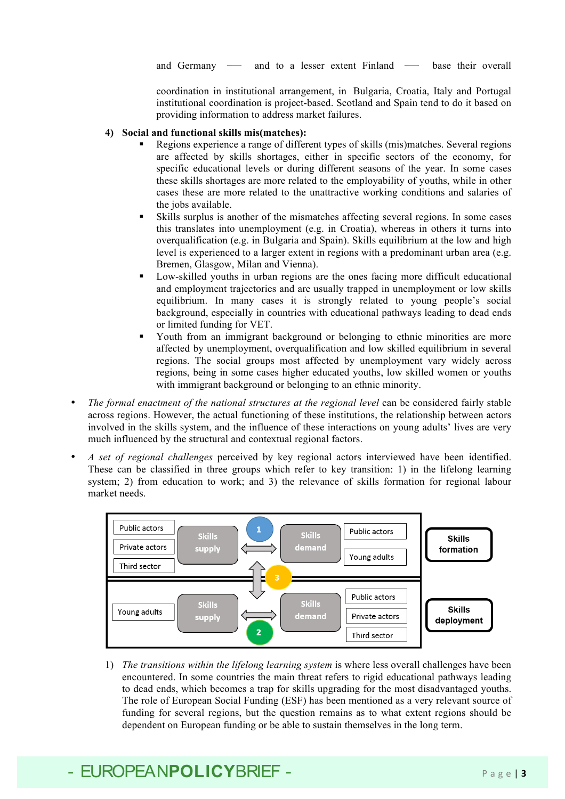and Germany *—* and to a lesser extent Finland *—* base their overall

coordination in institutional arrangement, in Bulgaria, Croatia, Italy and Portugal institutional coordination is project-based. Scotland and Spain tend to do it based on providing information to address market failures.

### **4) Social and functional skills mis(matches):**

- § Regions experience a range of different types of skills (mis)matches. Several regions are affected by skills shortages, either in specific sectors of the economy, for specific educational levels or during different seasons of the year. In some cases these skills shortages are more related to the employability of youths, while in other cases these are more related to the unattractive working conditions and salaries of the jobs available.
- § Skills surplus is another of the mismatches affecting several regions. In some cases this translates into unemployment (e.g. in Croatia), whereas in others it turns into overqualification (e.g. in Bulgaria and Spain). Skills equilibrium at the low and high level is experienced to a larger extent in regions with a predominant urban area (e.g. Bremen, Glasgow, Milan and Vienna).
- § Low-skilled youths in urban regions are the ones facing more difficult educational and employment trajectories and are usually trapped in unemployment or low skills equilibrium. In many cases it is strongly related to young people's social background, especially in countries with educational pathways leading to dead ends or limited funding for VET.
- Youth from an immigrant background or belonging to ethnic minorities are more affected by unemployment, overqualification and low skilled equilibrium in several regions. The social groups most affected by unemployment vary widely across regions, being in some cases higher educated youths, low skilled women or youths with immigrant background or belonging to an ethnic minority.
- *The formal enactment of the national structures at the regional level* can be considered fairly stable across regions. However, the actual functioning of these institutions, the relationship between actors involved in the skills system, and the influence of these interactions on young adults' lives are very much influenced by the structural and contextual regional factors.
- *A set of regional challenges* perceived by key regional actors interviewed have been identified. These can be classified in three groups which refer to key transition: 1) in the lifelong learning system; 2) from education to work; and 3) the relevance of skills formation for regional labour market needs.



1) *The transitions within the lifelong learning system* is where less overall challenges have been encountered. In some countries the main threat refers to rigid educational pathways leading to dead ends, which becomes a trap for skills upgrading for the most disadvantaged youths. The role of European Social Funding (ESF) has been mentioned as a very relevant source of funding for several regions, but the question remains as to what extent regions should be dependent on European funding or be able to sustain themselves in the long term.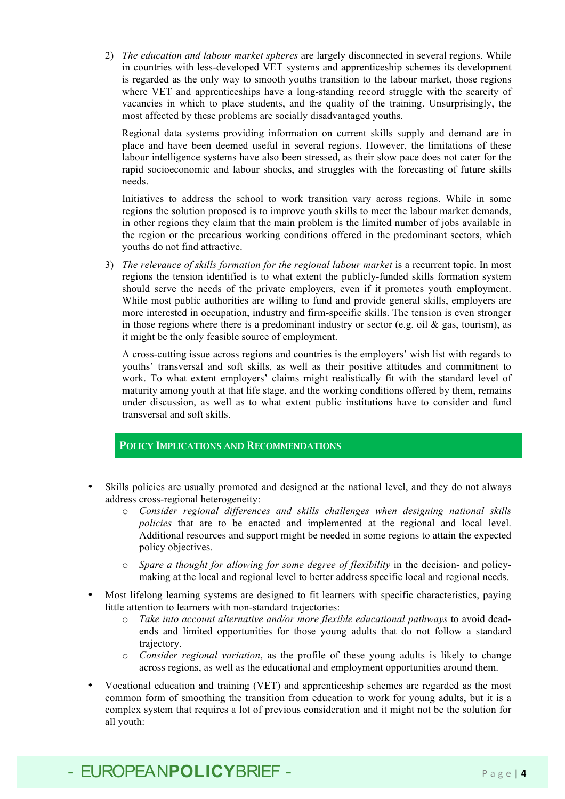2) *The education and labour market spheres* are largely disconnected in several regions. While in countries with less-developed VET systems and apprenticeship schemes its development is regarded as the only way to smooth youths transition to the labour market, those regions where VET and apprenticeships have a long-standing record struggle with the scarcity of vacancies in which to place students, and the quality of the training. Unsurprisingly, the most affected by these problems are socially disadvantaged youths.

Regional data systems providing information on current skills supply and demand are in place and have been deemed useful in several regions. However, the limitations of these labour intelligence systems have also been stressed, as their slow pace does not cater for the rapid socioeconomic and labour shocks, and struggles with the forecasting of future skills needs.

Initiatives to address the school to work transition vary across regions. While in some regions the solution proposed is to improve youth skills to meet the labour market demands, in other regions they claim that the main problem is the limited number of jobs available in the region or the precarious working conditions offered in the predominant sectors, which youths do not find attractive.

3) *The relevance of skills formation for the regional labour market* is a recurrent topic. In most regions the tension identified is to what extent the publicly-funded skills formation system should serve the needs of the private employers, even if it promotes youth employment. While most public authorities are willing to fund and provide general skills, employers are more interested in occupation, industry and firm-specific skills. The tension is even stronger in those regions where there is a predominant industry or sector (e.g. oil  $\&$  gas, tourism), as it might be the only feasible source of employment.

A cross-cutting issue across regions and countries is the employers' wish list with regards to youths' transversal and soft skills, as well as their positive attitudes and commitment to work. To what extent employers' claims might realistically fit with the standard level of maturity among youth at that life stage, and the working conditions offered by them, remains under discussion, as well as to what extent public institutions have to consider and fund transversal and soft skills.

### POLICY IMPLICATIONS AND RECOMMENDATIONS

- Skills policies are usually promoted and designed at the national level, and they do not always address cross-regional heterogeneity:
	- o *Consider regional differences and skills challenges when designing national skills policies* that are to be enacted and implemented at the regional and local level. Additional resources and support might be needed in some regions to attain the expected policy objectives.
	- o *Spare a thought for allowing for some degree of flexibility* in the decision- and policymaking at the local and regional level to better address specific local and regional needs.
- Most lifelong learning systems are designed to fit learners with specific characteristics, paying little attention to learners with non-standard trajectories:
	- o *Take into account alternative and/or more flexible educational pathways* to avoid deadends and limited opportunities for those young adults that do not follow a standard trajectory.
	- o *Consider regional variation*, as the profile of these young adults is likely to change across regions, as well as the educational and employment opportunities around them.
- Vocational education and training (VET) and apprenticeship schemes are regarded as the most common form of smoothing the transition from education to work for young adults, but it is a complex system that requires a lot of previous consideration and it might not be the solution for all youth: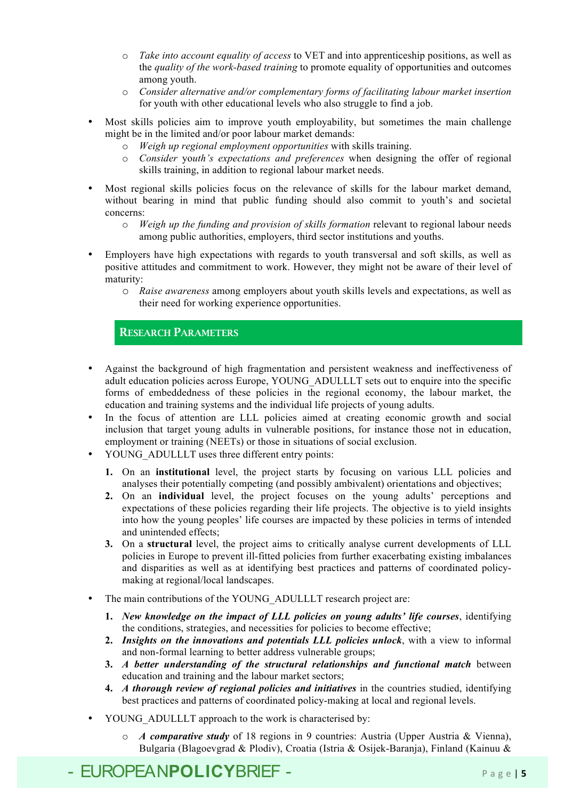- o *Take into account equality of access* to VET and into apprenticeship positions, as well as the *quality of the work-based training* to promote equality of opportunities and outcomes among youth.
- o *Consider alternative and/or complementary forms of facilitating labour market insertion* for youth with other educational levels who also struggle to find a job.
- Most skills policies aim to improve youth employability, but sometimes the main challenge might be in the limited and/or poor labour market demands:
	- o *Weigh up regional employment opportunities* with skills training.
	- o *Consider* yo*uth's expectations and preferences* when designing the offer of regional skills training, in addition to regional labour market needs.
- Most regional skills policies focus on the relevance of skills for the labour market demand, without bearing in mind that public funding should also commit to youth's and societal concerns:
	- o *Weigh up the funding and provision of skills formation* relevant to regional labour needs among public authorities, employers, third sector institutions and youths.
- Employers have high expectations with regards to youth transversal and soft skills, as well as positive attitudes and commitment to work. However, they might not be aware of their level of maturity:
	- o *Raise awareness* among employers about youth skills levels and expectations, as well as their need for working experience opportunities.

RESEARCH PARAMETERS

- Against the background of high fragmentation and persistent weakness and ineffectiveness of adult education policies across Europe, YOUNG\_ADULLLT sets out to enquire into the specific forms of embeddedness of these policies in the regional economy, the labour market, the education and training systems and the individual life projects of young adults.
- In the focus of attention are LLL policies aimed at creating economic growth and social inclusion that target young adults in vulnerable positions, for instance those not in education, employment or training (NEETs) or those in situations of social exclusion.
- YOUNG ADULLLT uses three different entry points:
	- **1.** On an **institutional** level, the project starts by focusing on various LLL policies and analyses their potentially competing (and possibly ambivalent) orientations and objectives;
	- **2.** On an **individual** level, the project focuses on the young adults' perceptions and expectations of these policies regarding their life projects. The objective is to yield insights into how the young peoples' life courses are impacted by these policies in terms of intended and unintended effects;
	- **3.** On a **structural** level, the project aims to critically analyse current developments of LLL policies in Europe to prevent ill-fitted policies from further exacerbating existing imbalances and disparities as well as at identifying best practices and patterns of coordinated policymaking at regional/local landscapes.
- The main contributions of the YOUNG ADULLLT research project are:
	- **1.** *New knowledge on the impact of LLL policies on young adults' life courses*, identifying the conditions, strategies, and necessities for policies to become effective;
	- **2.** *Insights on the innovations and potentials LLL policies unlock*, with a view to informal and non-formal learning to better address vulnerable groups;
	- **3.** *A better understanding of the structural relationships and functional match* between education and training and the labour market sectors;
	- **4.** *A thorough review of regional policies and initiatives* in the countries studied, identifying best practices and patterns of coordinated policy-making at local and regional levels.
- YOUNG ADULLLT approach to the work is characterised by:
	- o *A comparative study* of 18 regions in 9 countries: Austria (Upper Austria & Vienna), Bulgaria (Blagoevgrad & Plodiv), Croatia (Istria & Osijek-Baranja), Finland (Kainuu &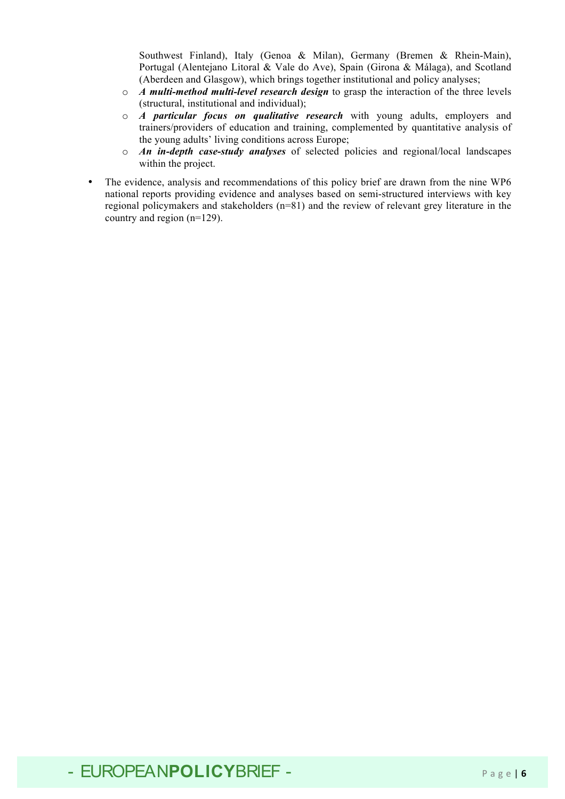Southwest Finland), Italy (Genoa & Milan), Germany (Bremen & Rhein-Main), Portugal (Alentejano Litoral & Vale do Ave), Spain (Girona & Málaga), and Scotland (Aberdeen and Glasgow), which brings together institutional and policy analyses;

- o *A multi-method multi-level research design* to grasp the interaction of the three levels (structural, institutional and individual);
- o *A particular focus on qualitative research* with young adults, employers and trainers/providers of education and training, complemented by quantitative analysis of the young adults' living conditions across Europe;
- o *An in-depth case-study analyses* of selected policies and regional/local landscapes within the project.
- The evidence, analysis and recommendations of this policy brief are drawn from the nine WP6 national reports providing evidence and analyses based on semi-structured interviews with key regional policymakers and stakeholders (n=81) and the review of relevant grey literature in the country and region (n=129).